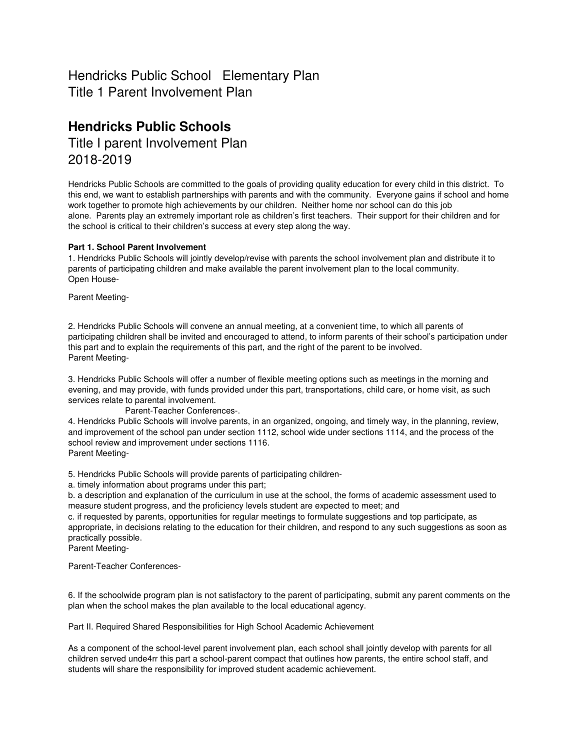## Hendricks Public School Elementary Plan Title 1 Parent Involvement Plan

# **Hendricks Public Schools**

Title I parent Involvement Plan 2018-2019

Hendricks Public Schools are committed to the goals of providing quality education for every child in this district. To this end, we want to establish partnerships with parents and with the community. Everyone gains if school and home work together to promote high achievements by our children. Neither home nor school can do this job alone. Parents play an extremely important role as children's first teachers. Their support for their children and for the school is critical to their children's success at every step along the way.

## **Part 1. School Parent Involvement**

1. Hendricks Public Schools will jointly develop/revise with parents the school involvement plan and distribute it to parents of participating children and make available the parent involvement plan to the local community. Open House-

Parent Meeting-

2. Hendricks Public Schools will convene an annual meeting, at a convenient time, to which all parents of participating children shall be invited and encouraged to attend, to inform parents of their school's participation under this part and to explain the requirements of this part, and the right of the parent to be involved. Parent Meeting-

3. Hendricks Public Schools will offer a number of flexible meeting options such as meetings in the morning and evening, and may provide, with funds provided under this part, transportations, child care, or home visit, as such services relate to parental involvement.

Parent-Teacher Conferences-.

4. Hendricks Public Schools will involve parents, in an organized, ongoing, and timely way, in the planning, review, and improvement of the school pan under section 1112, school wide under sections 1114, and the process of the school review and improvement under sections 1116. Parent Meeting-

5. Hendricks Public Schools will provide parents of participating children-

a. timely information about programs under this part;

b. a description and explanation of the curriculum in use at the school, the forms of academic assessment used to measure student progress, and the proficiency levels student are expected to meet; and

c. if requested by parents, opportunities for regular meetings to formulate suggestions and top participate, as appropriate, in decisions relating to the education for their children, and respond to any such suggestions as soon as practically possible.

Parent Meeting-

Parent-Teacher Conferences-

6. If the schoolwide program plan is not satisfactory to the parent of participating, submit any parent comments on the plan when the school makes the plan available to the local educational agency.

Part II. Required Shared Responsibilities for High School Academic Achievement

As a component of the school-level parent involvement plan, each school shall jointly develop with parents for all children served unde4rr this part a school-parent compact that outlines how parents, the entire school staff, and students will share the responsibility for improved student academic achievement.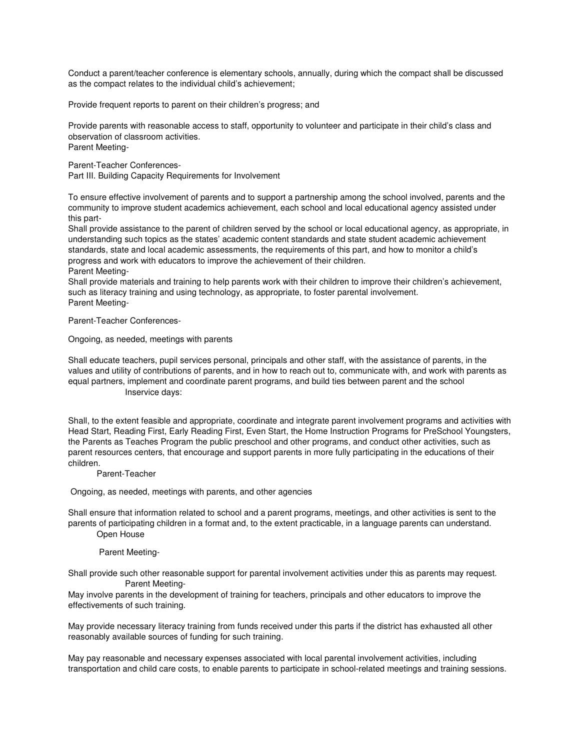Conduct a parent/teacher conference is elementary schools, annually, during which the compact shall be discussed as the compact relates to the individual child's achievement;

Provide frequent reports to parent on their children's progress; and

Provide parents with reasonable access to staff, opportunity to volunteer and participate in their child's class and observation of classroom activities. Parent Meeting-

Parent-Teacher Conferences-Part III. Building Capacity Requirements for Involvement

To ensure effective involvement of parents and to support a partnership among the school involved, parents and the community to improve student academics achievement, each school and local educational agency assisted under this part-

Shall provide assistance to the parent of children served by the school or local educational agency, as appropriate, in understanding such topics as the states' academic content standards and state student academic achievement standards, state and local academic assessments, the requirements of this part, and how to monitor a child's progress and work with educators to improve the achievement of their children.

Parent Meeting-

Shall provide materials and training to help parents work with their children to improve their children's achievement, such as literacy training and using technology, as appropriate, to foster parental involvement. Parent Meeting-

Parent-Teacher Conferences-

Ongoing, as needed, meetings with parents

Shall educate teachers, pupil services personal, principals and other staff, with the assistance of parents, in the values and utility of contributions of parents, and in how to reach out to, communicate with, and work with parents as equal partners, implement and coordinate parent programs, and build ties between parent and the school Inservice days:

Shall, to the extent feasible and appropriate, coordinate and integrate parent involvement programs and activities with Head Start, Reading First, Early Reading First, Even Start, the Home Instruction Programs for PreSchool Youngsters, the Parents as Teaches Program the public preschool and other programs, and conduct other activities, such as parent resources centers, that encourage and support parents in more fully participating in the educations of their children.

Parent-Teacher

Ongoing, as needed, meetings with parents, and other agencies

Shall ensure that information related to school and a parent programs, meetings, and other activities is sent to the parents of participating children in a format and, to the extent practicable, in a language parents can understand. Open House

### Parent Meeting-

Shall provide such other reasonable support for parental involvement activities under this as parents may request. Parent Meeting-

May involve parents in the development of training for teachers, principals and other educators to improve the effectivements of such training.

May provide necessary literacy training from funds received under this parts if the district has exhausted all other reasonably available sources of funding for such training.

May pay reasonable and necessary expenses associated with local parental involvement activities, including transportation and child care costs, to enable parents to participate in school-related meetings and training sessions.